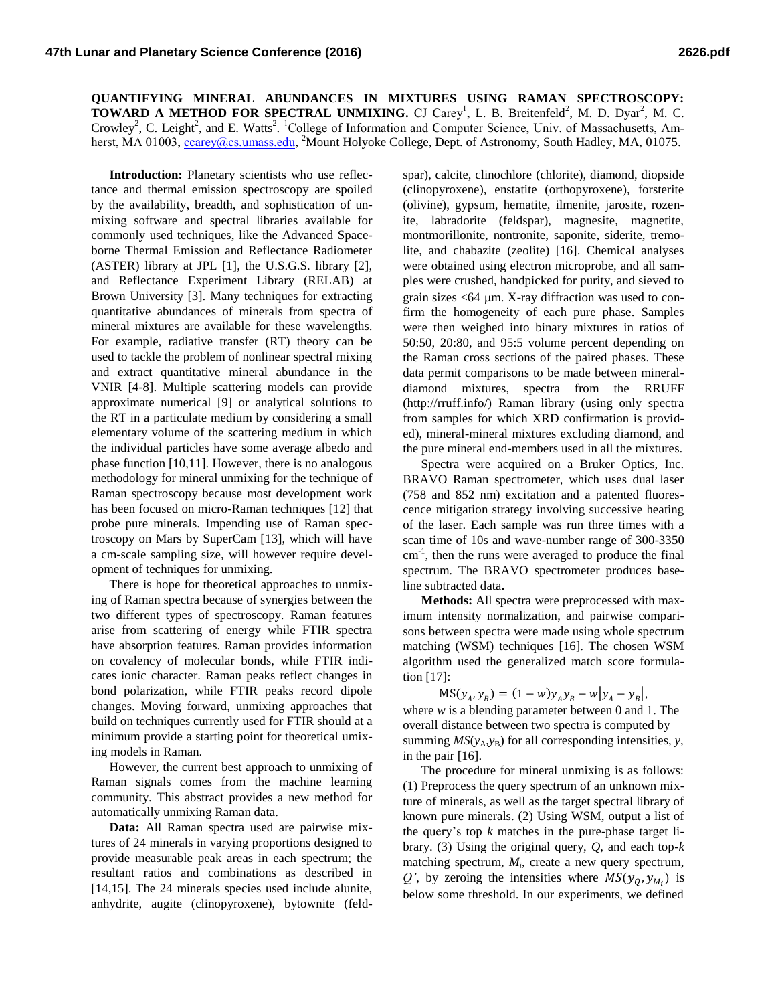**QUANTIFYING MINERAL ABUNDANCES IN MIXTURES USING RAMAN SPECTROSCOPY: TOWARD A METHOD FOR SPECTRAL UNMIXING.** CJ Carey<sup>1</sup>, L. B. Breitenfeld<sup>2</sup>, M. D. Dyar<sup>2</sup>, M. C. Crowley<sup>2</sup>, C. Leight<sup>2</sup>, and E. Watts<sup>2</sup>. <sup>1</sup>College of Information and Computer Science, Univ. of Massachusetts, Amherst, MA 01003, *ccarey@cs.umass.edu,* <sup>2</sup>Mount Holyoke College, Dept. of Astronomy, South Hadley, MA, 01075.

**Introduction:** Planetary scientists who use reflectance and thermal emission spectroscopy are spoiled by the availability, breadth, and sophistication of unmixing software and spectral libraries available for commonly used techniques, like the Advanced Spaceborne Thermal Emission and Reflectance Radiometer (ASTER) library at JPL [1], the U.S.G.S. library [2], and Reflectance Experiment Library (RELAB) at Brown University [3]. Many techniques for extracting quantitative abundances of minerals from spectra of mineral mixtures are available for these wavelengths. For example, radiative transfer (RT) theory can be used to tackle the problem of nonlinear spectral mixing and extract quantitative mineral abundance in the VNIR [4-8]. Multiple scattering models can provide approximate numerical [9] or analytical solutions to the RT in a particulate medium by considering a small elementary volume of the scattering medium in which the individual particles have some average albedo and phase function [10,11]. However, there is no analogous methodology for mineral unmixing for the technique of Raman spectroscopy because most development work has been focused on micro-Raman techniques [12] that probe pure minerals. Impending use of Raman spectroscopy on Mars by SuperCam [13], which will have a cm-scale sampling size, will however require development of techniques for unmixing.

There is hope for theoretical approaches to unmixing of Raman spectra because of synergies between the two different types of spectroscopy. Raman features arise from scattering of energy while FTIR spectra have absorption features. Raman provides information on covalency of molecular bonds, while FTIR indicates ionic character. Raman peaks reflect changes in bond polarization, while FTIR peaks record dipole changes. Moving forward, unmixing approaches that build on techniques currently used for FTIR should at a minimum provide a starting point for theoretical umixing models in Raman.

However, the current best approach to unmixing of Raman signals comes from the machine learning community. This abstract provides a new method for automatically unmixing Raman data.

**Data:** All Raman spectra used are pairwise mixtures of 24 minerals in varying proportions designed to provide measurable peak areas in each spectrum; the resultant ratios and combinations as described in [14,15]. The 24 minerals species used include alunite, anhydrite, augite (clinopyroxene), bytownite (feld-

spar), calcite, clinochlore (chlorite), diamond, diopside (clinopyroxene), enstatite (orthopyroxene), forsterite (olivine), gypsum, hematite, ilmenite, jarosite, rozenite, labradorite (feldspar), magnesite, magnetite, montmorillonite, nontronite, saponite, siderite, tremolite, and chabazite (zeolite) [16]. Chemical analyses were obtained using electron microprobe, and all samples were crushed, handpicked for purity, and sieved to grain sizes  $<$  64  $\mu$ m. X-ray diffraction was used to confirm the homogeneity of each pure phase. Samples were then weighed into binary mixtures in ratios of 50:50, 20:80, and 95:5 volume percent depending on the Raman cross sections of the paired phases. These data permit comparisons to be made between mineraldiamond mixtures, spectra from the RRUFF (http://rruff.info/) Raman library (using only spectra from samples for which XRD confirmation is provided), mineral-mineral mixtures excluding diamond, and the pure mineral end-members used in all the mixtures.

Spectra were acquired on a Bruker Optics, Inc. BRAVO Raman spectrometer, which uses dual laser (758 and 852 nm) excitation and a patented fluorescence mitigation strategy involving successive heating of the laser. Each sample was run three times with a scan time of 10s and wave-number range of 300-3350 cm<sup>-1</sup>, then the runs were averaged to produce the final spectrum. The BRAVO spectrometer produces baseline subtracted data**.**

**Methods:** All spectra were preprocessed with maximum intensity normalization, and pairwise comparisons between spectra were made using whole spectrum matching (WSM) techniques [16]. The chosen WSM algorithm used the generalized match score formulation [17]:

 $MS(y_A, y_B) = (1 - w)y_A y_B - w|y_A - y_B|,$ where *w* is a blending parameter between 0 and 1. The overall distance between two spectra is computed by summing  $MS(y_A, y_B)$  for all corresponding intensities, *y*, in the pair [16].

The procedure for mineral unmixing is as follows: (1) Preprocess the query spectrum of an unknown mixture of minerals, as well as the target spectral library of known pure minerals. (2) Using WSM, output a list of the query's top *k* matches in the pure-phase target library. (3) Using the original query, *Q*, and each top-*k* matching spectrum, *M<sup>i</sup>* , create a new query spectrum, Q', by zeroing the intensities where  $MS(y_Q, y_{M_i})$  is below some threshold. In our experiments, we defined